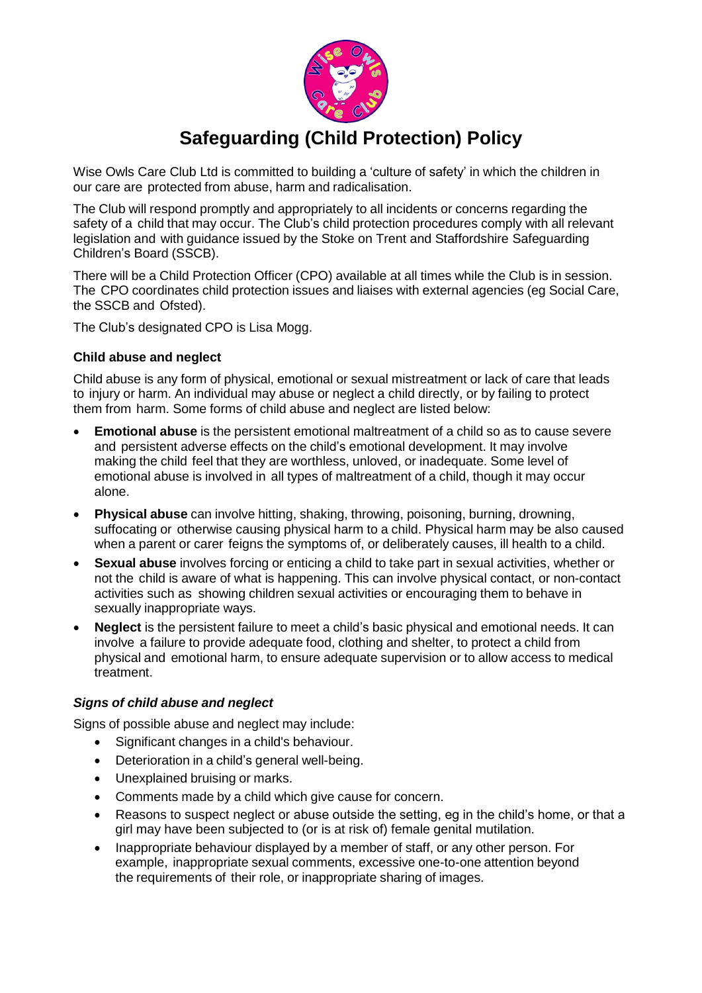

# **Safeguarding (Child Protection) Policy**

Wise Owls Care Club Ltd is committed to building a 'culture of safety' in which the children in our care are protected from abuse, harm and radicalisation.

The Club will respond promptly and appropriately to all incidents or concerns regarding the safety of a child that may occur. The Club's child protection procedures comply with all relevant legislation and with guidance issued by the Stoke on Trent and Staffordshire Safeguarding Children's Board (SSCB).

There will be a Child Protection Officer (CPO) available at all times while the Club is in session. The CPO coordinates child protection issues and liaises with external agencies (eg Social Care, the SSCB and Ofsted).

The Club's designated CPO is Lisa Mogg.

## **Child abuse and neglect**

Child abuse is any form of physical, emotional or sexual mistreatment or lack of care that leads to injury or harm. An individual may abuse or neglect a child directly, or by failing to protect them from harm. Some forms of child abuse and neglect are listed below:

- **Emotional abuse** is the persistent emotional maltreatment of a child so as to cause severe and persistent adverse effects on the child's emotional development. It may involve making the child feel that they are worthless, unloved, or inadequate. Some level of emotional abuse is involved in all types of maltreatment of a child, though it may occur alone.
- **Physical abuse** can involve hitting, shaking, throwing, poisoning, burning, drowning, suffocating or otherwise causing physical harm to a child. Physical harm may be also caused when a parent or carer feigns the symptoms of, or deliberately causes, ill health to a child.
- **Sexual abuse** involves forcing or enticing a child to take part in sexual activities, whether or not the child is aware of what is happening. This can involve physical contact, or non-contact activities such as showing children sexual activities or encouraging them to behave in sexually inappropriate ways.
- **Neglect** is the persistent failure to meet a child's basic physical and emotional needs. It can involve a failure to provide adequate food, clothing and shelter, to protect a child from physical and emotional harm, to ensure adequate supervision or to allow access to medical treatment.

## *Signs of child abuse and neglect*

Signs of possible abuse and neglect may include:

- Significant changes in a child's behaviour.
- Deterioration in a child's general well-being.
- Unexplained bruising or marks.
- Comments made by a child which give cause for concern.
- Reasons to suspect neglect or abuse outside the setting, eg in the child's home, or that a girl may have been subjected to (or is at risk of) female genital mutilation.
- Inappropriate behaviour displayed by a member of staff, or any other person. For example, inappropriate sexual comments, excessive one-to-one attention beyond the requirements of their role, or inappropriate sharing of images.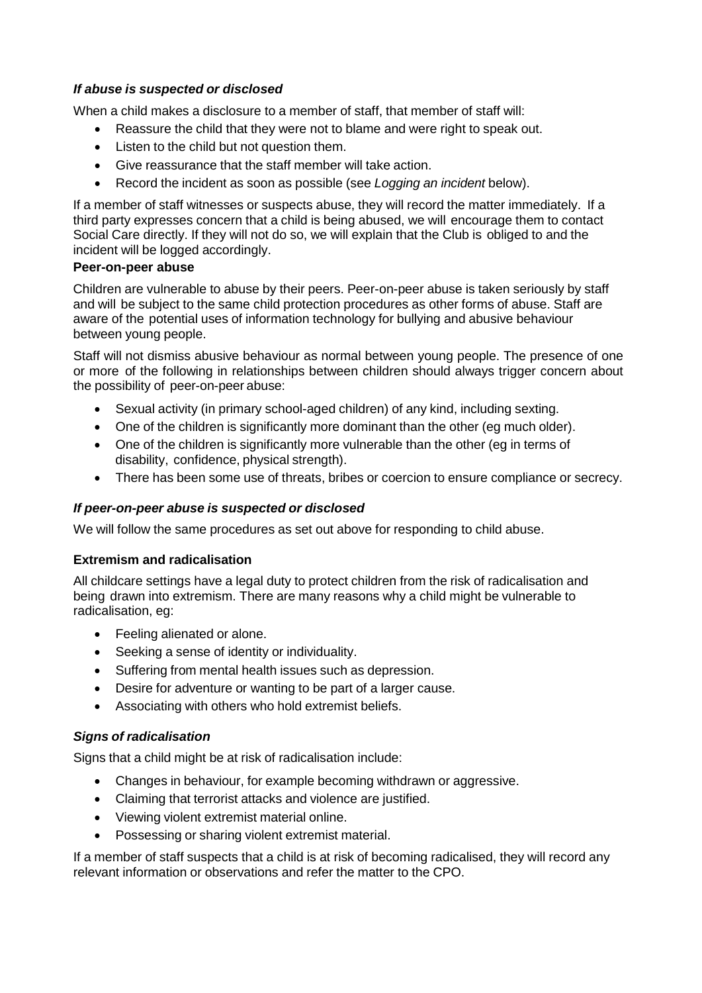## *If abuse is suspected or disclosed*

When a child makes a disclosure to a member of staff, that member of staff will:

- Reassure the child that they were not to blame and were right to speak out.
- Listen to the child but not question them.
- Give reassurance that the staff member will take action.
- Record the incident as soon as possible (see *Logging an incident* below).

If a member of staff witnesses or suspects abuse, they will record the matter immediately. If a third party expresses concern that a child is being abused, we will encourage them to contact Social Care directly. If they will not do so, we will explain that the Club is obliged to and the incident will be logged accordingly.

#### **Peer-on-peer abuse**

Children are vulnerable to abuse by their peers. Peer-on-peer abuse is taken seriously by staff and will be subject to the same child protection procedures as other forms of abuse. Staff are aware of the potential uses of information technology for bullying and abusive behaviour between young people.

Staff will not dismiss abusive behaviour as normal between young people. The presence of one or more of the following in relationships between children should always trigger concern about the possibility of peer-on-peer abuse:

- Sexual activity (in primary school-aged children) of any kind, including sexting.
- One of the children is significantly more dominant than the other (eg much older).
- One of the children is significantly more vulnerable than the other (eg in terms of disability, confidence, physical strength).
- There has been some use of threats, bribes or coercion to ensure compliance or secrecy.

## *If peer-on-peer abuse is suspected or disclosed*

We will follow the same procedures as set out above for responding to child abuse.

## **Extremism and radicalisation**

All childcare settings have a legal duty to protect children from the risk of radicalisation and being drawn into extremism. There are many reasons why a child might be vulnerable to radicalisation, eg:

- Feeling alienated or alone.
- Seeking a sense of identity or individuality.
- Suffering from mental health issues such as depression.
- Desire for adventure or wanting to be part of a larger cause.
- Associating with others who hold extremist beliefs.

## *Signs of radicalisation*

Signs that a child might be at risk of radicalisation include:

- Changes in behaviour, for example becoming withdrawn or aggressive.
- Claiming that terrorist attacks and violence are justified.
- Viewing violent extremist material online.
- Possessing or sharing violent extremist material.

If a member of staff suspects that a child is at risk of becoming radicalised, they will record any relevant information or observations and refer the matter to the CPO.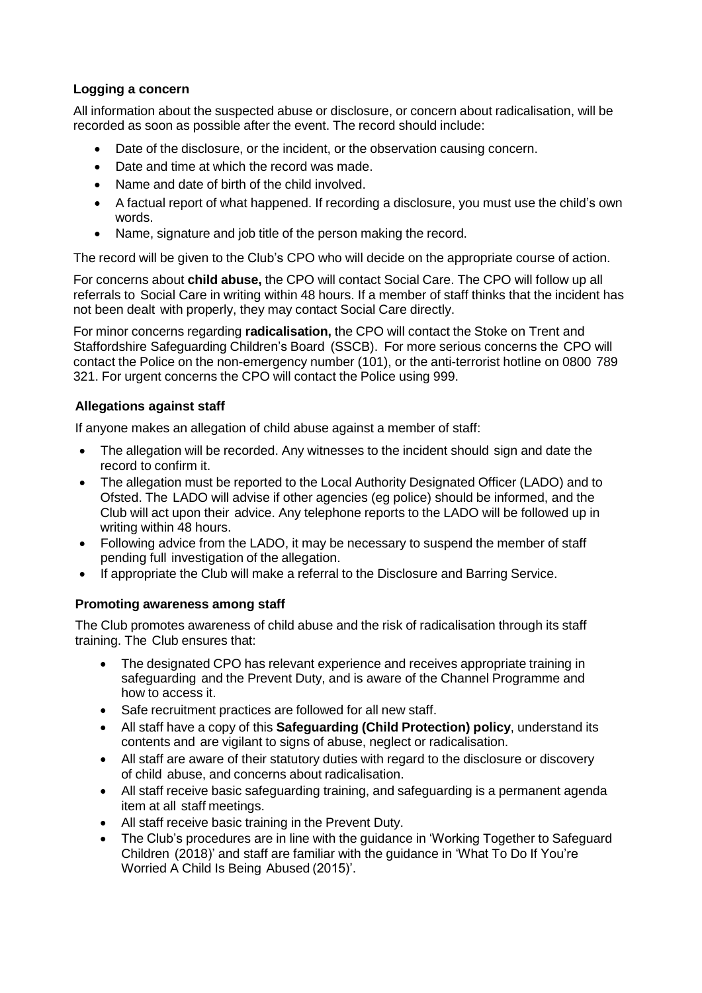# **Logging a concern**

All information about the suspected abuse or disclosure, or concern about radicalisation, will be recorded as soon as possible after the event. The record should include:

- Date of the disclosure, or the incident, or the observation causing concern.
- Date and time at which the record was made.
- Name and date of birth of the child involved.
- A factual report of what happened. If recording a disclosure, you must use the child's own words.
- Name, signature and job title of the person making the record.

The record will be given to the Club's CPO who will decide on the appropriate course of action.

For concerns about **child abuse,** the CPO will contact Social Care. The CPO will follow up all referrals to Social Care in writing within 48 hours. If a member of staff thinks that the incident has not been dealt with properly, they may contact Social Care directly.

For minor concerns regarding **radicalisation,** the CPO will contact the Stoke on Trent and Staffordshire Safeguarding Children's Board (SSCB). For more serious concerns the CPO will contact the Police on the non-emergency number (101), or the anti-terrorist hotline on 0800 789 321. For urgent concerns the CPO will contact the Police using 999.

# **Allegations against staff**

If anyone makes an allegation of child abuse against a member of staff:

- The allegation will be recorded. Any witnesses to the incident should sign and date the record to confirm it.
- The allegation must be reported to the Local Authority Designated Officer (LADO) and to Ofsted. The LADO will advise if other agencies (eg police) should be informed, and the Club will act upon their advice. Any telephone reports to the LADO will be followed up in writing within 48 hours.
- Following advice from the LADO, it may be necessary to suspend the member of staff pending full investigation of the allegation.
- If appropriate the Club will make a referral to the Disclosure and Barring Service.

# **Promoting awareness among staff**

The Club promotes awareness of child abuse and the risk of radicalisation through its staff training. The Club ensures that:

- The designated CPO has relevant experience and receives appropriate training in safeguarding and the Prevent Duty, and is aware of the Channel Programme and how to access it.
- Safe recruitment practices are followed for all new staff.
- All staff have a copy of this **Safeguarding (Child Protection) policy**, understand its contents and are vigilant to signs of abuse, neglect or radicalisation.
- All staff are aware of their statutory duties with regard to the disclosure or discovery of child abuse, and concerns about radicalisation.
- All staff receive basic safeguarding training, and safeguarding is a permanent agenda item at all staff meetings.
- All staff receive basic training in the Prevent Duty.
- The Club's procedures are in line with the guidance in 'Working Together to Safeguard Children (2018)' and staff are familiar with the guidance in 'What To Do If You're Worried A Child Is Being Abused (2015)'.